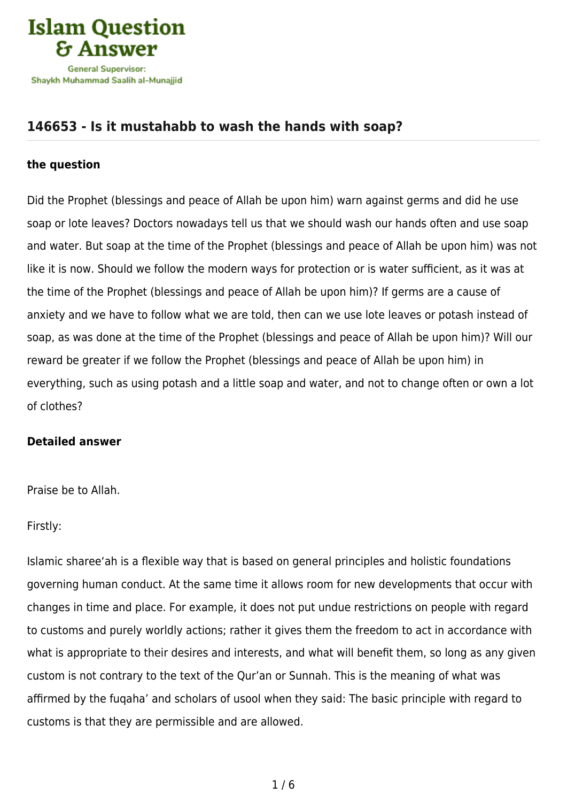

## **[146653 - Is it mustahabb to wash the hands with soap?](https://islamqa.com/en/answers/146653/is-it-mustahabb-to-wash-the-hands-with-soap)**

## **the question**

Did the Prophet (blessings and peace of Allah be upon him) warn against germs and did he use soap or lote leaves? Doctors nowadays tell us that we should wash our hands often and use soap and water. But soap at the time of the Prophet (blessings and peace of Allah be upon him) was not like it is now. Should we follow the modern ways for protection or is water sufficient, as it was at the time of the Prophet (blessings and peace of Allah be upon him)? If germs are a cause of anxiety and we have to follow what we are told, then can we use lote leaves or potash instead of soap, as was done at the time of the Prophet (blessings and peace of Allah be upon him)? Will our reward be greater if we follow the Prophet (blessings and peace of Allah be upon him) in everything, such as using potash and a little soap and water, and not to change often or own a lot of clothes?

## **Detailed answer**

Praise be to Allah.

Firstly:

Islamic sharee'ah is a flexible way that is based on general principles and holistic foundations governing human conduct. At the same time it allows room for new developments that occur with changes in time and place. For example, it does not put undue restrictions on people with regard to customs and purely worldly actions; rather it gives them the freedom to act in accordance with what is appropriate to their desires and interests, and what will benefit them, so long as any given custom is not contrary to the text of the Qur'an or Sunnah. This is the meaning of what was affirmed by the fuqaha' and scholars of usool when they said: The basic principle with regard to customs is that they are permissible and are allowed.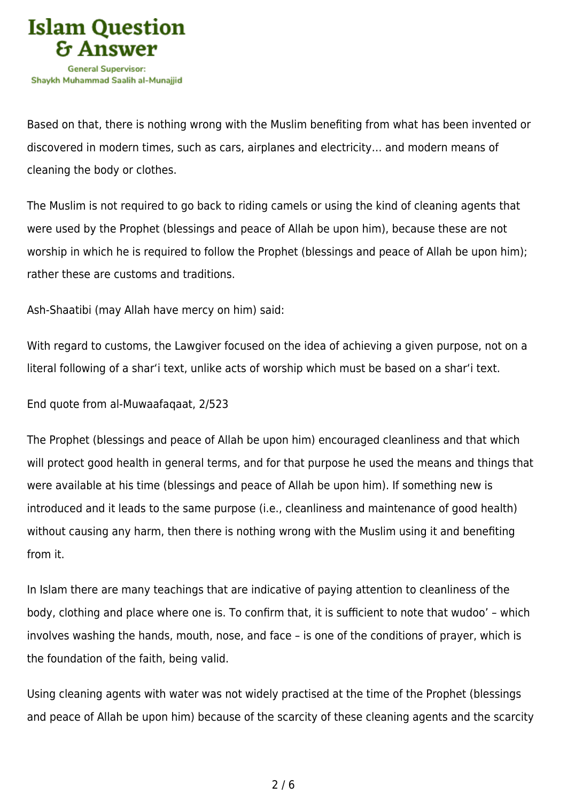

Based on that, there is nothing wrong with the Muslim benefiting from what has been invented or discovered in modern times, such as cars, airplanes and electricity… and modern means of cleaning the body or clothes.

The Muslim is not required to go back to riding camels or using the kind of cleaning agents that were used by the Prophet (blessings and peace of Allah be upon him), because these are not worship in which he is required to follow the Prophet (blessings and peace of Allah be upon him); rather these are customs and traditions.

Ash-Shaatibi (may Allah have mercy on him) said:

With regard to customs, the Lawgiver focused on the idea of achieving a given purpose, not on a literal following of a shar'i text, unlike acts of worship which must be based on a shar'i text.

End quote from al-Muwaafaqaat, 2/523

The Prophet (blessings and peace of Allah be upon him) encouraged cleanliness and that which will protect good health in general terms, and for that purpose he used the means and things that were available at his time (blessings and peace of Allah be upon him). If something new is introduced and it leads to the same purpose (i.e., cleanliness and maintenance of good health) without causing any harm, then there is nothing wrong with the Muslim using it and benefiting from it.

In Islam there are many teachings that are indicative of paying attention to cleanliness of the body, clothing and place where one is. To confirm that, it is sufficient to note that wudoo' – which involves washing the hands, mouth, nose, and face – is one of the conditions of prayer, which is the foundation of the faith, being valid.

Using cleaning agents with water was not widely practised at the time of the Prophet (blessings and peace of Allah be upon him) because of the scarcity of these cleaning agents and the scarcity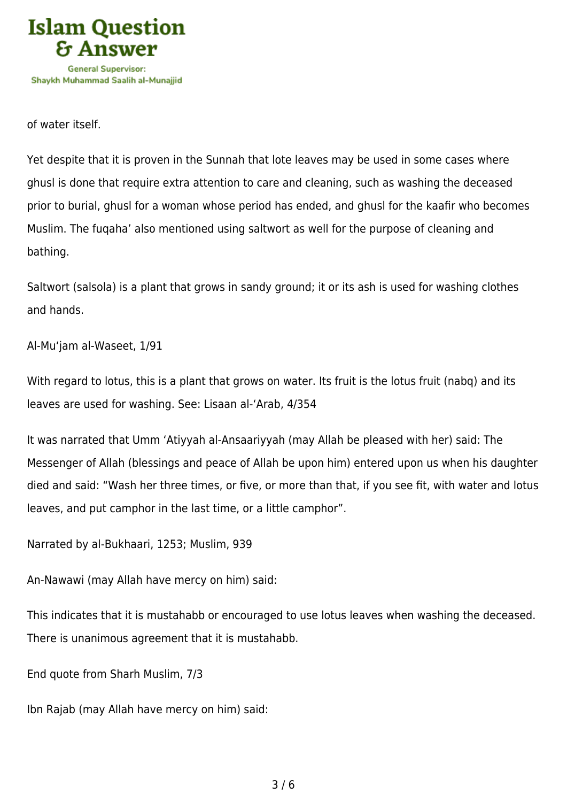

of water itself.

Yet despite that it is proven in the Sunnah that lote leaves may be used in some cases where ghusl is done that require extra attention to care and cleaning, such as washing the deceased prior to burial, ghusl for a woman whose period has ended, and ghusl for the kaafir who becomes Muslim. The fuqaha' also mentioned using saltwort as well for the purpose of cleaning and bathing.

Saltwort (salsola) is a plant that grows in sandy ground; it or its ash is used for washing clothes and hands.

Al-Mu'jam al-Waseet, 1/91

With regard to lotus, this is a plant that grows on water. Its fruit is the lotus fruit (nabq) and its leaves are used for washing. See: Lisaan al-'Arab, 4/354

It was narrated that Umm 'Atiyyah al-Ansaariyyah (may Allah be pleased with her) said: The Messenger of Allah (blessings and peace of Allah be upon him) entered upon us when his daughter died and said: "Wash her three times, or five, or more than that, if you see fit, with water and lotus leaves, and put camphor in the last time, or a little camphor".

Narrated by al-Bukhaari, 1253; Muslim, 939

An-Nawawi (may Allah have mercy on him) said:

This indicates that it is mustahabb or encouraged to use lotus leaves when washing the deceased. There is unanimous agreement that it is mustahabb.

End quote from Sharh Muslim, 7/3

Ibn Rajab (may Allah have mercy on him) said: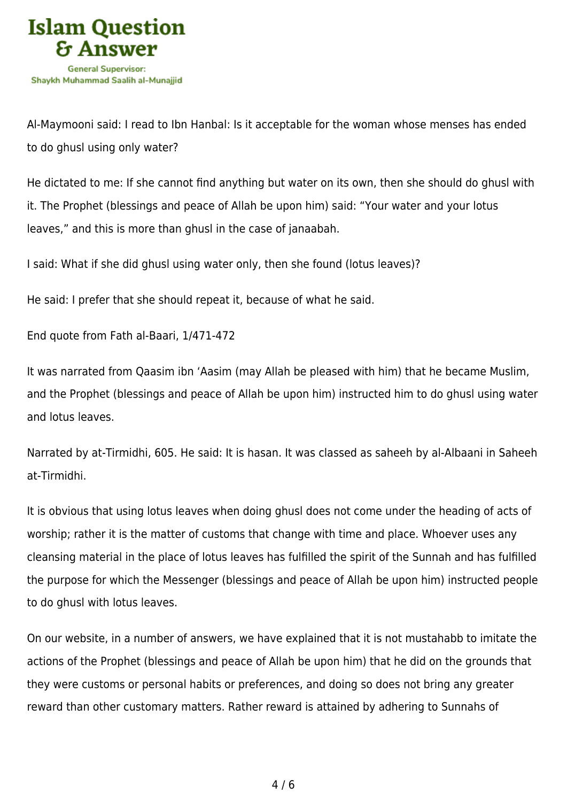

Al-Maymooni said: I read to Ibn Hanbal: Is it acceptable for the woman whose menses has ended to do ghusl using only water?

He dictated to me: If she cannot find anything but water on its own, then she should do ghusl with it. The Prophet (blessings and peace of Allah be upon him) said: "Your water and your lotus leaves," and this is more than ghusl in the case of janaabah.

I said: What if she did ghusl using water only, then she found (lotus leaves)?

He said: I prefer that she should repeat it, because of what he said.

End quote from Fath al-Baari, 1/471-472

It was narrated from Qaasim ibn 'Aasim (may Allah be pleased with him) that he became Muslim, and the Prophet (blessings and peace of Allah be upon him) instructed him to do ghusl using water and lotus leaves.

Narrated by at-Tirmidhi, 605. He said: It is hasan. It was classed as saheeh by al-Albaani in Saheeh at-Tirmidhi.

It is obvious that using lotus leaves when doing ghusl does not come under the heading of acts of worship; rather it is the matter of customs that change with time and place. Whoever uses any cleansing material in the place of lotus leaves has fulfilled the spirit of the Sunnah and has fulfilled the purpose for which the Messenger (blessings and peace of Allah be upon him) instructed people to do ghusl with lotus leaves.

On our website, in a number of answers, we have explained that it is not mustahabb to imitate the actions of the Prophet (blessings and peace of Allah be upon him) that he did on the grounds that they were customs or personal habits or preferences, and doing so does not bring any greater reward than other customary matters. Rather reward is attained by adhering to Sunnahs of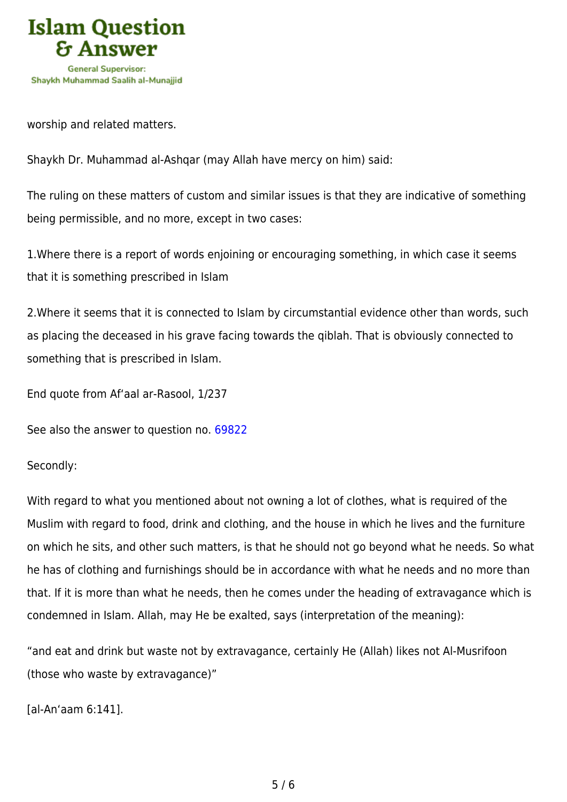

worship and related matters.

Shaykh Dr. Muhammad al-Ashqar (may Allah have mercy on him) said:

The ruling on these matters of custom and similar issues is that they are indicative of something being permissible, and no more, except in two cases:

1.Where there is a report of words enjoining or encouraging something, in which case it seems that it is something prescribed in Islam

2.Where it seems that it is connected to Islam by circumstantial evidence other than words, such as placing the deceased in his grave facing towards the qiblah. That is obviously connected to something that is prescribed in Islam.

End quote from Af'aal ar-Rasool, 1/237

See also the answer to question no. [69822](https://islamqa.com/en/answers/69822)

Secondly:

With regard to what you mentioned about not owning a lot of clothes, what is required of the Muslim with regard to food, drink and clothing, and the house in which he lives and the furniture on which he sits, and other such matters, is that he should not go beyond what he needs. So what he has of clothing and furnishings should be in accordance with what he needs and no more than that. If it is more than what he needs, then he comes under the heading of extravagance which is condemned in Islam. Allah, may He be exalted, says (interpretation of the meaning):

"and eat and drink but waste not by extravagance, certainly He (Allah) likes not Al-Musrifoon (those who waste by extravagance)"

[al-An'aam 6:141].